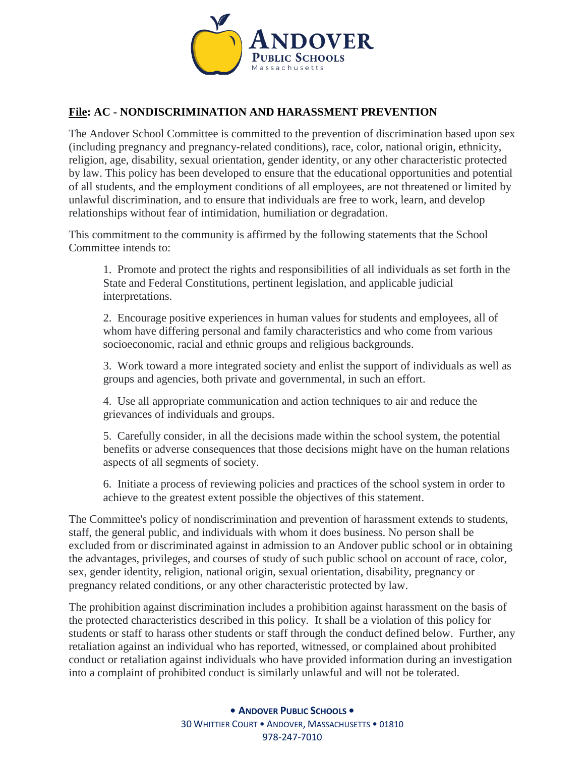

### **File: AC - NONDISCRIMINATION AND HARASSMENT PREVENTION**

The Andover School Committee is committed to the prevention of discrimination based upon sex (including pregnancy and pregnancy-related conditions), race, color, national origin, ethnicity, religion, age, disability, sexual orientation, gender identity, or any other characteristic protected by law. This policy has been developed to ensure that the educational opportunities and potential of all students, and the employment conditions of all employees, are not threatened or limited by unlawful discrimination, and to ensure that individuals are free to work, learn, and develop relationships without fear of intimidation, humiliation or degradation.

This commitment to the community is affirmed by the following statements that the School Committee intends to:

1. Promote and protect the rights and responsibilities of all individuals as set forth in the State and Federal Constitutions, pertinent legislation, and applicable judicial interpretations.

2. Encourage positive experiences in human values for students and employees, all of whom have differing personal and family characteristics and who come from various socioeconomic, racial and ethnic groups and religious backgrounds.

3. Work toward a more integrated society and enlist the support of individuals as well as groups and agencies, both private and governmental, in such an effort.

4. Use all appropriate communication and action techniques to air and reduce the grievances of individuals and groups.

5. Carefully consider, in all the decisions made within the school system, the potential benefits or adverse consequences that those decisions might have on the human relations aspects of all segments of society.

6. Initiate a process of reviewing policies and practices of the school system in order to achieve to the greatest extent possible the objectives of this statement.

The Committee's policy of nondiscrimination and prevention of harassment extends to students, staff, the general public, and individuals with whom it does business. No person shall be excluded from or discriminated against in admission to an Andover public school or in obtaining the advantages, privileges, and courses of study of such public school on account of race, color, sex, gender identity, religion, national origin, sexual orientation, disability, pregnancy or pregnancy related conditions, or any other characteristic protected by law.

The prohibition against discrimination includes a prohibition against harassment on the basis of the protected characteristics described in this policy. It shall be a violation of this policy for students or staff to harass other students or staff through the conduct defined below. Further, any retaliation against an individual who has reported, witnessed, or complained about prohibited conduct or retaliation against individuals who have provided information during an investigation into a complaint of prohibited conduct is similarly unlawful and will not be tolerated.

> **• ANDOVER PUBLIC SCHOOLS •** 30 WHITTIER COURT • ANDOVER, MASSACHUSETTS • 01810 978-247-7010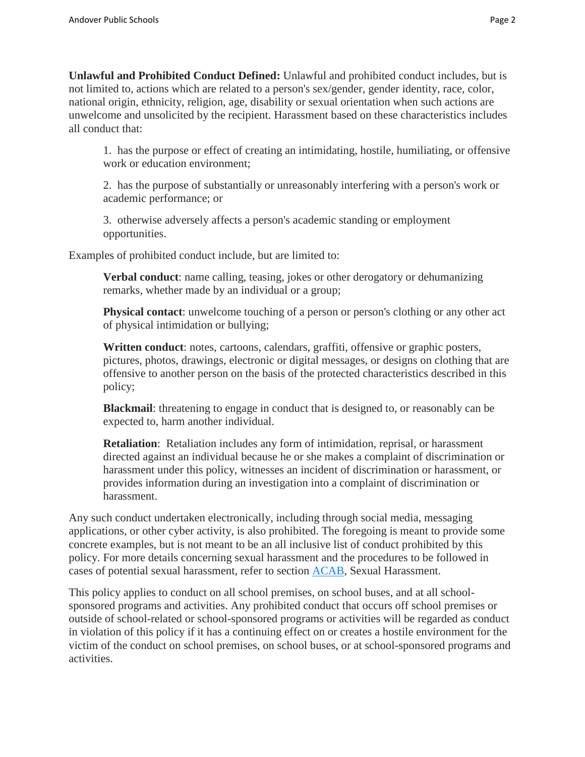**Unlawful and Prohibited Conduct Defined:** Unlawful and prohibited conduct includes, but is not limited to, actions which are related to a person's sex/gender, gender identity, race, color, national origin, ethnicity, religion, age, disability or sexual orientation when such actions are unwelcome and unsolicited by the recipient. Harassment based on these characteristics includes all conduct that:

1. has the purpose or effect of creating an intimidating, hostile, humiliating, or offensive work or education environment;

2. has the purpose of substantially or unreasonably interfering with a person's work or academic performance; or

3. otherwise adversely affects a person's academic standing or employment opportunities.

Examples of prohibited conduct include, but are limited to:

**Verbal conduct**: name calling, teasing, jokes or other derogatory or dehumanizing remarks, whether made by an individual or a group;

**Physical contact**: unwelcome touching of a person or person's clothing or any other act of physical intimidation or bullying;

**Written conduct**: notes, cartoons, calendars, graffiti, offensive or graphic posters, pictures, photos, drawings, electronic or digital messages, or designs on clothing that are offensive to another person on the basis of the protected characteristics described in this policy;

**Blackmail**: threatening to engage in conduct that is designed to, or reasonably can be expected to, harm another individual.

**Retaliation**: Retaliation includes any form of intimidation, reprisal, or harassment directed against an individual because he or she makes a complaint of discrimination or harassment under this policy, witnesses an incident of discrimination or harassment, or provides information during an investigation into a complaint of discrimination or harassment.

Any such conduct undertaken electronically, including through social media, messaging applications, or other cyber activity, is also prohibited. The foregoing is meant to provide some concrete examples, but is not meant to be an all inclusive list of conduct prohibited by this policy. For more details concerning sexual harassment and the procedures to be followed in cases of potential sexual harassment, refer to section [ACAB,](https://z2policy.ctspublish.com/masc/) Sexual Harassment.

This policy applies to conduct on all school premises, on school buses, and at all schoolsponsored programs and activities. Any prohibited conduct that occurs off school premises or outside of school-related or school-sponsored programs or activities will be regarded as conduct in violation of this policy if it has a continuing effect on or creates a hostile environment for the victim of the conduct on school premises, on school buses, or at school-sponsored programs and activities.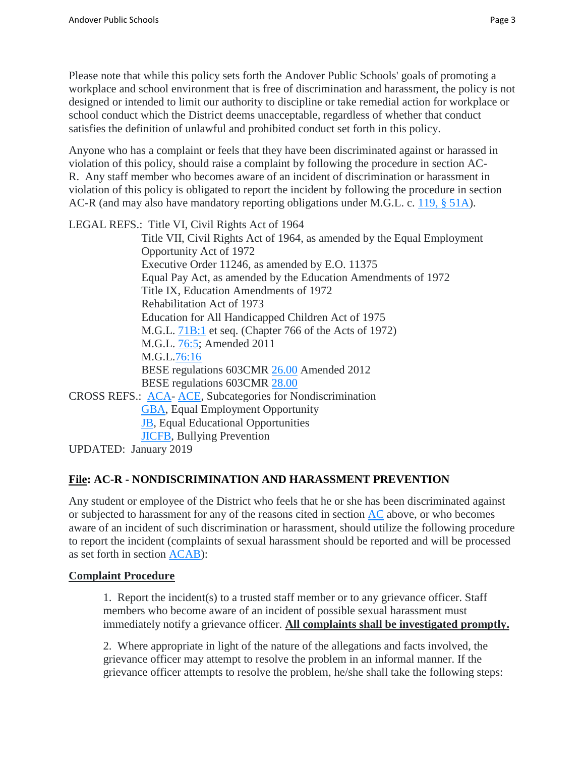Please note that while this policy sets forth the Andover Public Schools' goals of promoting a workplace and school environment that is free of discrimination and harassment, the policy is not designed or intended to limit our authority to discipline or take remedial action for workplace or school conduct which the District deems unacceptable, regardless of whether that conduct satisfies the definition of unlawful and prohibited conduct set forth in this policy.

Anyone who has a complaint or feels that they have been discriminated against or harassed in violation of this policy, should raise a complaint by following the procedure in section AC-R. Any staff member who becomes aware of an incident of discrimination or harassment in violation of this policy is obligated to report the incident by following the procedure in section AC-R (and may also have mandatory reporting obligations under M.G.L. c. [119, § 51A\)](https://malegislature.gov/Laws/GeneralLaws/PartI/TitleXVII/Chapter119/section51a).

LEGAL REFS.: Title VI, Civil Rights Act of 1964

Title VII, Civil Rights Act of 1964, as amended by the Equal Employment Opportunity Act of 1972 Executive Order 11246, as amended by E.O. 11375 Equal Pay Act, as amended by the Education Amendments of 1972 Title IX, Education Amendments of 1972 Rehabilitation Act of 1973 Education for All Handicapped Children Act of 1975 M.G.L. [71B:1](https://malegislature.gov/Laws/GeneralLaws/PartI/TitleXII/Chapter71B/section1) et seq. (Chapter 766 of the Acts of 1972) M.G.L. [76:5;](https://malegislature.gov/Laws/GeneralLaws/PartI/TitleXII/Chapter76/section5) Amended 2011 M.G.L[.76:16](https://malegislature.gov/Laws/GeneralLaws/PartI/TitleXII/Chapter76/section16) BESE regulations 603CMR [26.00](http://www.doe.mass.edu/lawsregs/603cmr26.html) Amended 2012 BESE regulations 603CMR [28.00](http://www.doe.mass.edu/lawsregs/603cmr28.html) CROSS REFS.: [ACA-](https://z2policy.ctspublish.com/masc/) [ACE,](https://z2policy.ctspublish.com/masc/) Subcategories for Nondiscrimination [GBA,](https://z2policy.ctspublish.com/masc/) Equal Employment Opportunity [JB,](https://z2policy.ctspublish.com/masc/) Equal Educational Opportunities [JICFB,](https://z2policy.ctspublish.com/masc/) Bullying Prevention UPDATED: January 2019

**File: AC-R - NONDISCRIMINATION AND HARASSMENT PREVENTION**

Any student or employee of the District who feels that he or she has been discriminated against or subjected to harassment for any of the reasons cited in section  $AC$  above, or who becomes aware of an incident of such discrimination or harassment, should utilize the following procedure to report the incident (complaints of sexual harassment should be reported and will be processed as set forth in section [ACAB\)](https://z2policy.ctspublish.com/masc/):

### **Complaint Procedure**

1. Report the incident(s) to a trusted staff member or to any grievance officer. Staff members who become aware of an incident of possible sexual harassment must immediately notify a grievance officer. **All complaints shall be investigated promptly.**

2. Where appropriate in light of the nature of the allegations and facts involved, the grievance officer may attempt to resolve the problem in an informal manner. If the grievance officer attempts to resolve the problem, he/she shall take the following steps: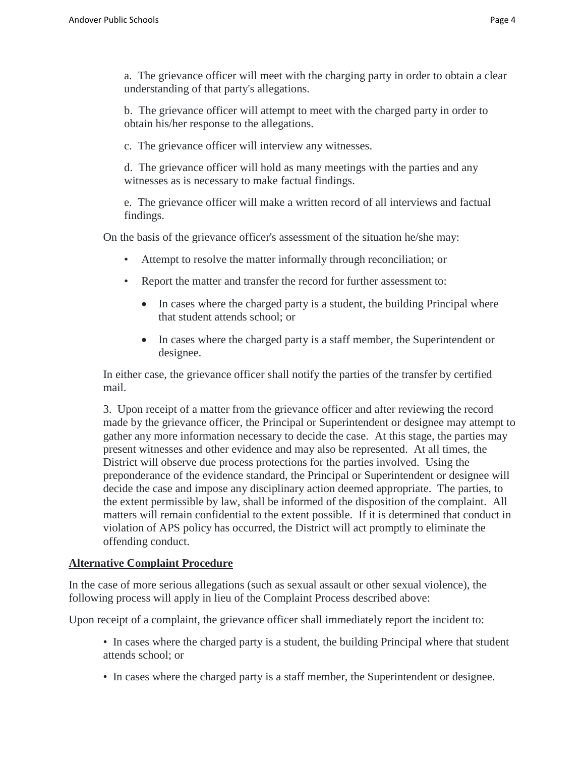a. The grievance officer will meet with the charging party in order to obtain a clear understanding of that party's allegations.

b. The grievance officer will attempt to meet with the charged party in order to obtain his/her response to the allegations.

c. The grievance officer will interview any witnesses.

d. The grievance officer will hold as many meetings with the parties and any witnesses as is necessary to make factual findings.

e. The grievance officer will make a written record of all interviews and factual findings.

On the basis of the grievance officer's assessment of the situation he/she may:

- Attempt to resolve the matter informally through reconciliation; or
- Report the matter and transfer the record for further assessment to:
	- In cases where the charged party is a student, the building Principal where that student attends school; or
	- In cases where the charged party is a staff member, the Superintendent or designee.

In either case, the grievance officer shall notify the parties of the transfer by certified mail.

3. Upon receipt of a matter from the grievance officer and after reviewing the record made by the grievance officer, the Principal or Superintendent or designee may attempt to gather any more information necessary to decide the case. At this stage, the parties may present witnesses and other evidence and may also be represented. At all times, the District will observe due process protections for the parties involved. Using the preponderance of the evidence standard, the Principal or Superintendent or designee will decide the case and impose any disciplinary action deemed appropriate. The parties, to the extent permissible by law, shall be informed of the disposition of the complaint. All matters will remain confidential to the extent possible. If it is determined that conduct in violation of APS policy has occurred, the District will act promptly to eliminate the offending conduct.

#### **Alternative Complaint Procedure**

In the case of more serious allegations (such as sexual assault or other sexual violence), the following process will apply in lieu of the Complaint Process described above:

Upon receipt of a complaint, the grievance officer shall immediately report the incident to:

- In cases where the charged party is a student, the building Principal where that student attends school; or
- In cases where the charged party is a staff member, the Superintendent or designee.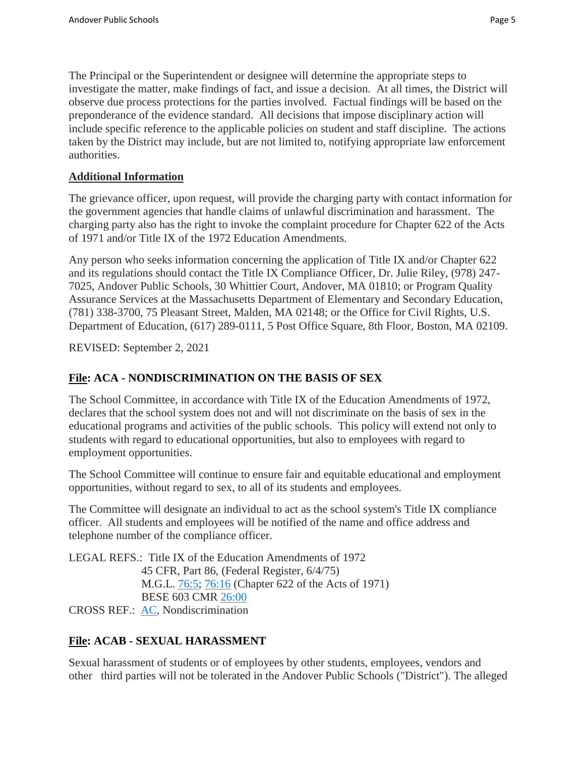The Principal or the Superintendent or designee will determine the appropriate steps to investigate the matter, make findings of fact, and issue a decision. At all times, the District will observe due process protections for the parties involved. Factual findings will be based on the preponderance of the evidence standard. All decisions that impose disciplinary action will include specific reference to the applicable policies on student and staff discipline. The actions taken by the District may include, but are not limited to, notifying appropriate law enforcement authorities.

### **Additional Information**

The grievance officer, upon request, will provide the charging party with contact information for the government agencies that handle claims of unlawful discrimination and harassment. The charging party also has the right to invoke the complaint procedure for Chapter 622 of the Acts of 1971 and/or Title IX of the 1972 Education Amendments.

Any person who seeks information concerning the application of Title IX and/or Chapter 622 and its regulations should contact the Title IX Compliance Officer, Dr. Julie Riley, (978) 247- 7025, Andover Public Schools, 30 Whittier Court, Andover, MA 01810; or Program Quality Assurance Services at the Massachusetts Department of Elementary and Secondary Education, (781) 338-3700, 75 Pleasant Street, Malden, MA 02148; or the Office for Civil Rights, U.S. Department of Education, (617) 289-0111, 5 Post Office Square, 8th Floor, Boston, MA 02109.

REVISED: September 2, 2021

## **File: ACA - NONDISCRIMINATION ON THE BASIS OF SEX**

The School Committee, in accordance with Title IX of the Education Amendments of 1972, declares that the school system does not and will not discriminate on the basis of sex in the educational programs and activities of the public schools. This policy will extend not only to students with regard to educational opportunities, but also to employees with regard to employment opportunities.

The School Committee will continue to ensure fair and equitable educational and employment opportunities, without regard to sex, to all of its students and employees.

The Committee will designate an individual to act as the school system's Title IX compliance officer. All students and employees will be notified of the name and office address and telephone number of the compliance officer.

LEGAL REFS.: Title IX of the Education Amendments of 1972 45 CFR, Part 86, (Federal Register, 6/4/75) M.G.L. [76:5;](https://malegislature.gov/Laws/GeneralLaws/PartI/TitleXII/Chapter76/section5) [76:16](https://malegislature.gov/Laws/GeneralLaws/PartI/TitleXII/Chapter76/section16) (Chapter 622 of the Acts of 1971) BESE 603 CMR [26:00](http://www.doe.mass.edu/lawsregs/603cmr26.html) CROSS REF.: [AC,](https://z2policy.ctspublish.com/masc/) Nondiscrimination

# **File: ACAB - SEXUAL HARASSMENT**

Sexual harassment of students or of employees by other students, employees, vendors and other third parties will not be tolerated in the Andover Public Schools ("District"). The alleged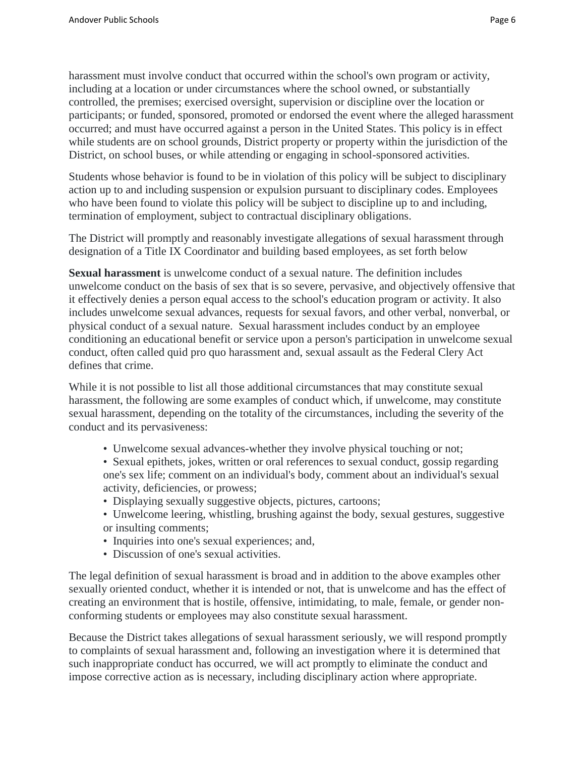harassment must involve conduct that occurred within the school's own program or activity, including at a location or under circumstances where the school owned, or substantially controlled, the premises; exercised oversight, supervision or discipline over the location or participants; or funded, sponsored, promoted or endorsed the event where the alleged harassment occurred; and must have occurred against a person in the United States. This policy is in effect while students are on school grounds, District property or property within the jurisdiction of the District, on school buses, or while attending or engaging in school-sponsored activities.

Students whose behavior is found to be in violation of this policy will be subject to disciplinary action up to and including suspension or expulsion pursuant to disciplinary codes. Employees who have been found to violate this policy will be subject to discipline up to and including, termination of employment, subject to contractual disciplinary obligations.

The District will promptly and reasonably investigate allegations of sexual harassment through designation of a Title IX Coordinator and building based employees, as set forth below

**Sexual harassment** is unwelcome conduct of a sexual nature. The definition includes unwelcome conduct on the basis of sex that is so severe, pervasive, and objectively offensive that it effectively denies a person equal access to the school's education program or activity. It also includes unwelcome sexual advances, requests for sexual favors, and other verbal, nonverbal, or physical conduct of a sexual nature. Sexual harassment includes conduct by an employee conditioning an educational benefit or service upon a person's participation in unwelcome sexual conduct, often called quid pro quo harassment and, sexual assault as the Federal Clery Act defines that crime.

While it is not possible to list all those additional circumstances that may constitute sexual harassment, the following are some examples of conduct which, if unwelcome, may constitute sexual harassment, depending on the totality of the circumstances, including the severity of the conduct and its pervasiveness:

- Unwelcome sexual advances-whether they involve physical touching or not;
- Sexual epithets, jokes, written or oral references to sexual conduct, gossip regarding one's sex life; comment on an individual's body, comment about an individual's sexual activity, deficiencies, or prowess;
- Displaying sexually suggestive objects, pictures, cartoons;
- Unwelcome leering, whistling, brushing against the body, sexual gestures, suggestive or insulting comments;
- Inquiries into one's sexual experiences; and,
- Discussion of one's sexual activities.

The legal definition of sexual harassment is broad and in addition to the above examples other sexually oriented conduct, whether it is intended or not, that is unwelcome and has the effect of creating an environment that is hostile, offensive, intimidating, to male, female, or gender nonconforming students or employees may also constitute sexual harassment.

Because the District takes allegations of sexual harassment seriously, we will respond promptly to complaints of sexual harassment and, following an investigation where it is determined that such inappropriate conduct has occurred, we will act promptly to eliminate the conduct and impose corrective action as is necessary, including disciplinary action where appropriate.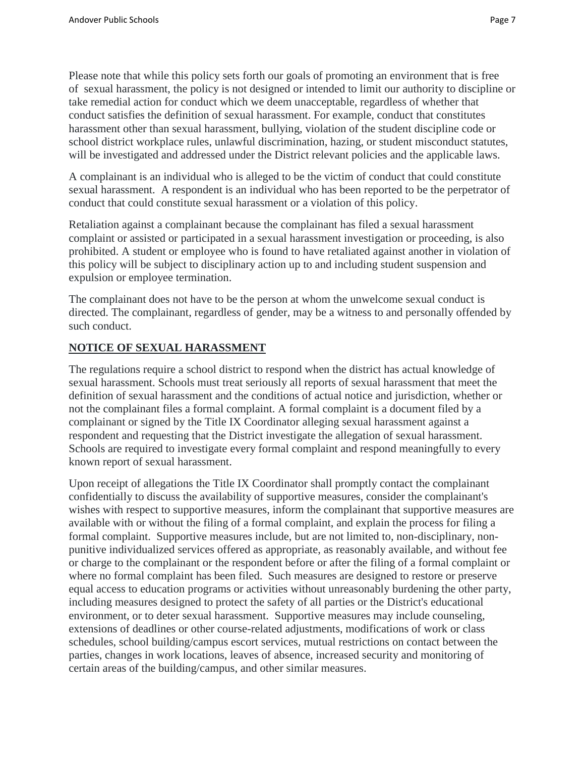Please note that while this policy sets forth our goals of promoting an environment that is free of sexual harassment, the policy is not designed or intended to limit our authority to discipline or take remedial action for conduct which we deem unacceptable, regardless of whether that conduct satisfies the definition of sexual harassment. For example, conduct that constitutes harassment other than sexual harassment, bullying, violation of the student discipline code or school district workplace rules, unlawful discrimination, hazing, or student misconduct statutes, will be investigated and addressed under the District relevant policies and the applicable laws.

A complainant is an individual who is alleged to be the victim of conduct that could constitute sexual harassment. A respondent is an individual who has been reported to be the perpetrator of conduct that could constitute sexual harassment or a violation of this policy.

Retaliation against a complainant because the complainant has filed a sexual harassment complaint or assisted or participated in a sexual harassment investigation or proceeding, is also prohibited. A student or employee who is found to have retaliated against another in violation of this policy will be subject to disciplinary action up to and including student suspension and expulsion or employee termination.

The complainant does not have to be the person at whom the unwelcome sexual conduct is directed. The complainant, regardless of gender, may be a witness to and personally offended by such conduct.

### **NOTICE OF SEXUAL HARASSMENT**

The regulations require a school district to respond when the district has actual knowledge of sexual harassment. Schools must treat seriously all reports of sexual harassment that meet the definition of sexual harassment and the conditions of actual notice and jurisdiction, whether or not the complainant files a formal complaint. A formal complaint is a document filed by a complainant or signed by the Title IX Coordinator alleging sexual harassment against a respondent and requesting that the District investigate the allegation of sexual harassment. Schools are required to investigate every formal complaint and respond meaningfully to every known report of sexual harassment.

Upon receipt of allegations the Title IX Coordinator shall promptly contact the complainant confidentially to discuss the availability of supportive measures, consider the complainant's wishes with respect to supportive measures, inform the complainant that supportive measures are available with or without the filing of a formal complaint, and explain the process for filing a formal complaint. Supportive measures include, but are not limited to, non-disciplinary, nonpunitive individualized services offered as appropriate, as reasonably available, and without fee or charge to the complainant or the respondent before or after the filing of a formal complaint or where no formal complaint has been filed. Such measures are designed to restore or preserve equal access to education programs or activities without unreasonably burdening the other party, including measures designed to protect the safety of all parties or the District's educational environment, or to deter sexual harassment. Supportive measures may include counseling, extensions of deadlines or other course-related adjustments, modifications of work or class schedules, school building/campus escort services, mutual restrictions on contact between the parties, changes in work locations, leaves of absence, increased security and monitoring of certain areas of the building/campus, and other similar measures.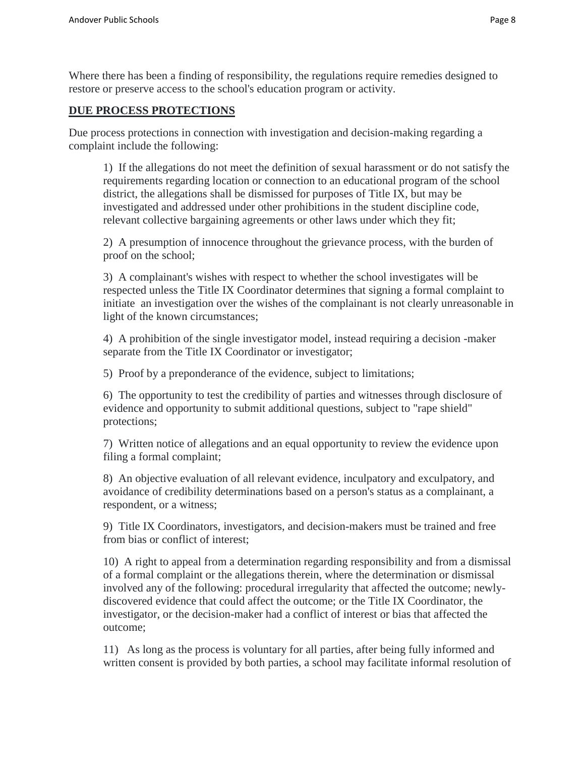Where there has been a finding of responsibility, the regulations require remedies designed to restore or preserve access to the school's education program or activity.

#### **DUE PROCESS PROTECTIONS**

Due process protections in connection with investigation and decision-making regarding a complaint include the following:

1) If the allegations do not meet the definition of sexual harassment or do not satisfy the requirements regarding location or connection to an educational program of the school district, the allegations shall be dismissed for purposes of Title IX, but may be investigated and addressed under other prohibitions in the student discipline code, relevant collective bargaining agreements or other laws under which they fit;

2) A presumption of innocence throughout the grievance process, with the burden of proof on the school;

3) A complainant's wishes with respect to whether the school investigates will be respected unless the Title IX Coordinator determines that signing a formal complaint to initiate an investigation over the wishes of the complainant is not clearly unreasonable in light of the known circumstances;

4) A prohibition of the single investigator model, instead requiring a decision -maker separate from the Title IX Coordinator or investigator;

5) Proof by a preponderance of the evidence, subject to limitations;

6) The opportunity to test the credibility of parties and witnesses through disclosure of evidence and opportunity to submit additional questions, subject to "rape shield" protections;

7) Written notice of allegations and an equal opportunity to review the evidence upon filing a formal complaint;

8) An objective evaluation of all relevant evidence, inculpatory and exculpatory, and avoidance of credibility determinations based on a person's status as a complainant, a respondent, or a witness;

9) Title IX Coordinators, investigators, and decision-makers must be trained and free from bias or conflict of interest;

10) A right to appeal from a determination regarding responsibility and from a dismissal of a formal complaint or the allegations therein, where the determination or dismissal involved any of the following: procedural irregularity that affected the outcome; newlydiscovered evidence that could affect the outcome; or the Title IX Coordinator, the investigator, or the decision-maker had a conflict of interest or bias that affected the outcome;

11) As long as the process is voluntary for all parties, after being fully informed and written consent is provided by both parties, a school may facilitate informal resolution of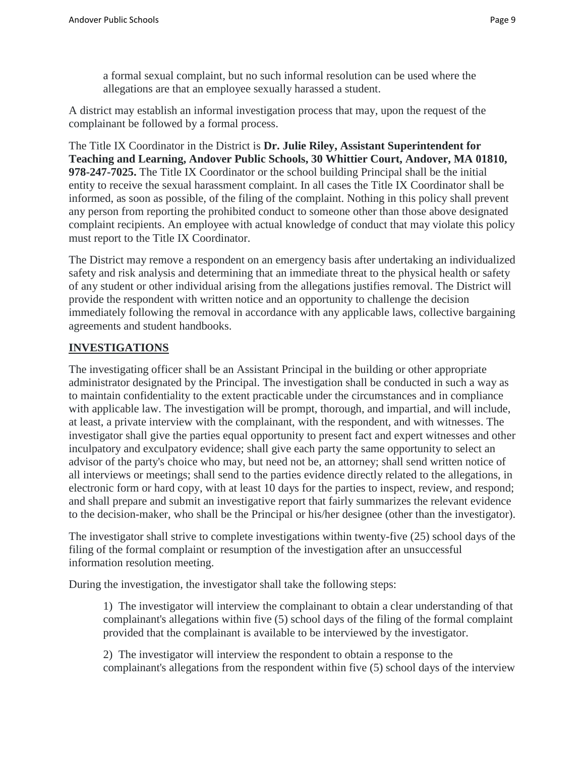a formal sexual complaint, but no such informal resolution can be used where the allegations are that an employee sexually harassed a student.

A district may establish an informal investigation process that may, upon the request of the complainant be followed by a formal process.

The Title IX Coordinator in the District is **Dr. Julie Riley, Assistant Superintendent for Teaching and Learning, Andover Public Schools, 30 Whittier Court, Andover, MA 01810, 978-247-7025.** The Title IX Coordinator or the school building Principal shall be the initial entity to receive the sexual harassment complaint. In all cases the Title IX Coordinator shall be informed, as soon as possible, of the filing of the complaint. Nothing in this policy shall prevent any person from reporting the prohibited conduct to someone other than those above designated complaint recipients. An employee with actual knowledge of conduct that may violate this policy must report to the Title IX Coordinator.

The District may remove a respondent on an emergency basis after undertaking an individualized safety and risk analysis and determining that an immediate threat to the physical health or safety of any student or other individual arising from the allegations justifies removal. The District will provide the respondent with written notice and an opportunity to challenge the decision immediately following the removal in accordance with any applicable laws, collective bargaining agreements and student handbooks.

## **INVESTIGATIONS**

The investigating officer shall be an Assistant Principal in the building or other appropriate administrator designated by the Principal. The investigation shall be conducted in such a way as to maintain confidentiality to the extent practicable under the circumstances and in compliance with applicable law. The investigation will be prompt, thorough, and impartial, and will include, at least, a private interview with the complainant, with the respondent, and with witnesses. The investigator shall give the parties equal opportunity to present fact and expert witnesses and other inculpatory and exculpatory evidence; shall give each party the same opportunity to select an advisor of the party's choice who may, but need not be, an attorney; shall send written notice of all interviews or meetings; shall send to the parties evidence directly related to the allegations, in electronic form or hard copy, with at least 10 days for the parties to inspect, review, and respond; and shall prepare and submit an investigative report that fairly summarizes the relevant evidence to the decision-maker, who shall be the Principal or his/her designee (other than the investigator).

The investigator shall strive to complete investigations within twenty-five (25) school days of the filing of the formal complaint or resumption of the investigation after an unsuccessful information resolution meeting.

During the investigation, the investigator shall take the following steps:

1) The investigator will interview the complainant to obtain a clear understanding of that complainant's allegations within five (5) school days of the filing of the formal complaint provided that the complainant is available to be interviewed by the investigator.

2) The investigator will interview the respondent to obtain a response to the complainant's allegations from the respondent within five (5) school days of the interview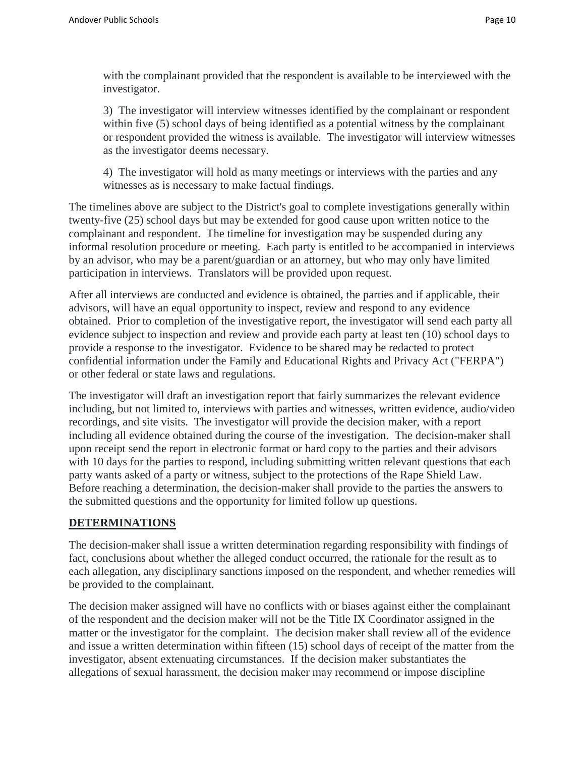with the complainant provided that the respondent is available to be interviewed with the investigator.

3) The investigator will interview witnesses identified by the complainant or respondent within five (5) school days of being identified as a potential witness by the complainant or respondent provided the witness is available. The investigator will interview witnesses as the investigator deems necessary.

4) The investigator will hold as many meetings or interviews with the parties and any witnesses as is necessary to make factual findings.

The timelines above are subject to the District's goal to complete investigations generally within twenty-five (25) school days but may be extended for good cause upon written notice to the complainant and respondent. The timeline for investigation may be suspended during any informal resolution procedure or meeting. Each party is entitled to be accompanied in interviews by an advisor, who may be a parent/guardian or an attorney, but who may only have limited participation in interviews. Translators will be provided upon request.

After all interviews are conducted and evidence is obtained, the parties and if applicable, their advisors, will have an equal opportunity to inspect, review and respond to any evidence obtained. Prior to completion of the investigative report, the investigator will send each party all evidence subject to inspection and review and provide each party at least ten (10) school days to provide a response to the investigator. Evidence to be shared may be redacted to protect confidential information under the Family and Educational Rights and Privacy Act ("FERPA") or other federal or state laws and regulations.

The investigator will draft an investigation report that fairly summarizes the relevant evidence including, but not limited to, interviews with parties and witnesses, written evidence, audio/video recordings, and site visits. The investigator will provide the decision maker, with a report including all evidence obtained during the course of the investigation. The decision-maker shall upon receipt send the report in electronic format or hard copy to the parties and their advisors with 10 days for the parties to respond, including submitting written relevant questions that each party wants asked of a party or witness, subject to the protections of the Rape Shield Law. Before reaching a determination, the decision-maker shall provide to the parties the answers to the submitted questions and the opportunity for limited follow up questions.

#### **DETERMINATIONS**

The decision-maker shall issue a written determination regarding responsibility with findings of fact, conclusions about whether the alleged conduct occurred, the rationale for the result as to each allegation, any disciplinary sanctions imposed on the respondent, and whether remedies will be provided to the complainant.

The decision maker assigned will have no conflicts with or biases against either the complainant of the respondent and the decision maker will not be the Title IX Coordinator assigned in the matter or the investigator for the complaint. The decision maker shall review all of the evidence and issue a written determination within fifteen (15) school days of receipt of the matter from the investigator, absent extenuating circumstances. If the decision maker substantiates the allegations of sexual harassment, the decision maker may recommend or impose discipline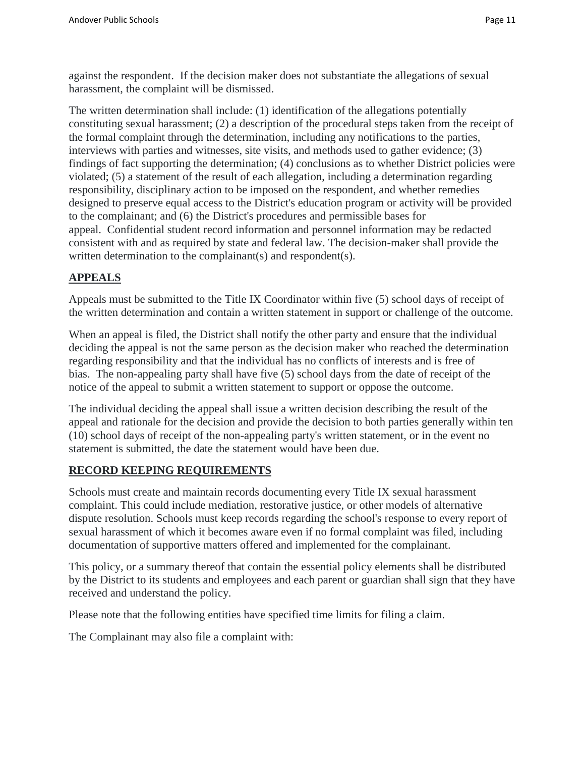against the respondent. If the decision maker does not substantiate the allegations of sexual harassment, the complaint will be dismissed.

The written determination shall include: (1) identification of the allegations potentially constituting sexual harassment; (2) a description of the procedural steps taken from the receipt of the formal complaint through the determination, including any notifications to the parties, interviews with parties and witnesses, site visits, and methods used to gather evidence; (3) findings of fact supporting the determination; (4) conclusions as to whether District policies were violated; (5) a statement of the result of each allegation, including a determination regarding responsibility, disciplinary action to be imposed on the respondent, and whether remedies designed to preserve equal access to the District's education program or activity will be provided to the complainant; and (6) the District's procedures and permissible bases for appeal. Confidential student record information and personnel information may be redacted consistent with and as required by state and federal law. The decision-maker shall provide the written determination to the complainant(s) and respondent(s).

## **APPEALS**

Appeals must be submitted to the Title IX Coordinator within five (5) school days of receipt of the written determination and contain a written statement in support or challenge of the outcome.

When an appeal is filed, the District shall notify the other party and ensure that the individual deciding the appeal is not the same person as the decision maker who reached the determination regarding responsibility and that the individual has no conflicts of interests and is free of bias. The non-appealing party shall have five (5) school days from the date of receipt of the notice of the appeal to submit a written statement to support or oppose the outcome.

The individual deciding the appeal shall issue a written decision describing the result of the appeal and rationale for the decision and provide the decision to both parties generally within ten (10) school days of receipt of the non-appealing party's written statement, or in the event no statement is submitted, the date the statement would have been due.

### **RECORD KEEPING REQUIREMENTS**

Schools must create and maintain records documenting every Title IX sexual harassment complaint. This could include mediation, restorative justice, or other models of alternative dispute resolution. Schools must keep records regarding the school's response to every report of sexual harassment of which it becomes aware even if no formal complaint was filed, including documentation of supportive matters offered and implemented for the complainant.

This policy, or a summary thereof that contain the essential policy elements shall be distributed by the District to its students and employees and each parent or guardian shall sign that they have received and understand the policy.

Please note that the following entities have specified time limits for filing a claim.

The Complainant may also file a complaint with: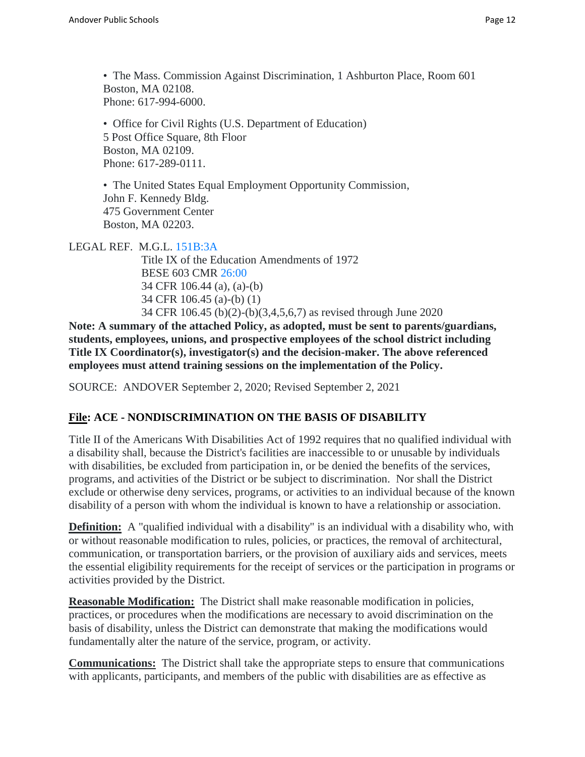• Office for Civil Rights (U.S. Department of Education) 5 Post Office Square, 8th Floor Boston, MA 02109. Phone: 617-289-0111.

• The United States Equal Employment Opportunity Commission, John F. Kennedy Bldg. 475 Government Center Boston, MA 02203.

LEGAL REF. M.G.L. [151B:3A](https://malegislature.gov/Laws/GeneralLaws/PartI/TitleXXI/Chapter151b/section3a)

Title IX of the Education Amendments of 1972 BESE 603 CMR [26:00](http://www.doe.mass.edu/lawsregs/603cmr26.html) 34 CFR 106.44 (a), (a)-(b) 34 CFR 106.45 (a)-(b) (1) 34 CFR 106.45 (b)(2)-(b)(3,4,5,6,7) as revised through June 2020

**Note: A summary of the attached Policy, as adopted, must be sent to parents/guardians, students, employees, unions, and prospective employees of the school district including Title IX Coordinator(s), investigator(s) and the decision-maker. The above referenced employees must attend training sessions on the implementation of the Policy.**

SOURCE: ANDOVER September 2, 2020; Revised September 2, 2021

# **File: ACE - NONDISCRIMINATION ON THE BASIS OF DISABILITY**

Title II of the Americans With Disabilities Act of 1992 requires that no qualified individual with a disability shall, because the District's facilities are inaccessible to or unusable by individuals with disabilities, be excluded from participation in, or be denied the benefits of the services, programs, and activities of the District or be subject to discrimination. Nor shall the District exclude or otherwise deny services, programs, or activities to an individual because of the known disability of a person with whom the individual is known to have a relationship or association.

**Definition:** A "qualified individual with a disability" is an individual with a disability who, with or without reasonable modification to rules, policies, or practices, the removal of architectural, communication, or transportation barriers, or the provision of auxiliary aids and services, meets the essential eligibility requirements for the receipt of services or the participation in programs or activities provided by the District.

**Reasonable Modification:** The District shall make reasonable modification in policies, practices, or procedures when the modifications are necessary to avoid discrimination on the basis of disability, unless the District can demonstrate that making the modifications would fundamentally alter the nature of the service, program, or activity.

**Communications:** The District shall take the appropriate steps to ensure that communications with applicants, participants, and members of the public with disabilities are as effective as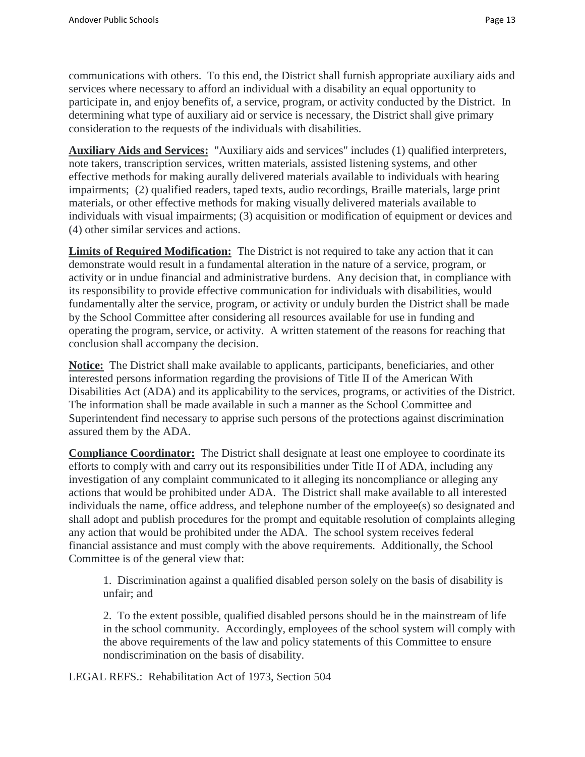communications with others. To this end, the District shall furnish appropriate auxiliary aids and services where necessary to afford an individual with a disability an equal opportunity to participate in, and enjoy benefits of, a service, program, or activity conducted by the District. In determining what type of auxiliary aid or service is necessary, the District shall give primary consideration to the requests of the individuals with disabilities.

**Auxiliary Aids and Services:** "Auxiliary aids and services" includes (1) qualified interpreters, note takers, transcription services, written materials, assisted listening systems, and other effective methods for making aurally delivered materials available to individuals with hearing impairments; (2) qualified readers, taped texts, audio recordings, Braille materials, large print materials, or other effective methods for making visually delivered materials available to individuals with visual impairments; (3) acquisition or modification of equipment or devices and (4) other similar services and actions.

**Limits of Required Modification:** The District is not required to take any action that it can demonstrate would result in a fundamental alteration in the nature of a service, program, or activity or in undue financial and administrative burdens. Any decision that, in compliance with its responsibility to provide effective communication for individuals with disabilities, would fundamentally alter the service, program, or activity or unduly burden the District shall be made by the School Committee after considering all resources available for use in funding and operating the program, service, or activity. A written statement of the reasons for reaching that conclusion shall accompany the decision.

**Notice:** The District shall make available to applicants, participants, beneficiaries, and other interested persons information regarding the provisions of Title II of the American With Disabilities Act (ADA) and its applicability to the services, programs, or activities of the District. The information shall be made available in such a manner as the School Committee and Superintendent find necessary to apprise such persons of the protections against discrimination assured them by the ADA.

**Compliance Coordinator:** The District shall designate at least one employee to coordinate its efforts to comply with and carry out its responsibilities under Title II of ADA, including any investigation of any complaint communicated to it alleging its noncompliance or alleging any actions that would be prohibited under ADA. The District shall make available to all interested individuals the name, office address, and telephone number of the employee(s) so designated and shall adopt and publish procedures for the prompt and equitable resolution of complaints alleging any action that would be prohibited under the ADA. The school system receives federal financial assistance and must comply with the above requirements. Additionally, the School Committee is of the general view that:

1. Discrimination against a qualified disabled person solely on the basis of disability is unfair; and

2. To the extent possible, qualified disabled persons should be in the mainstream of life in the school community. Accordingly, employees of the school system will comply with the above requirements of the law and policy statements of this Committee to ensure nondiscrimination on the basis of disability.

LEGAL REFS.: Rehabilitation Act of 1973, Section 504